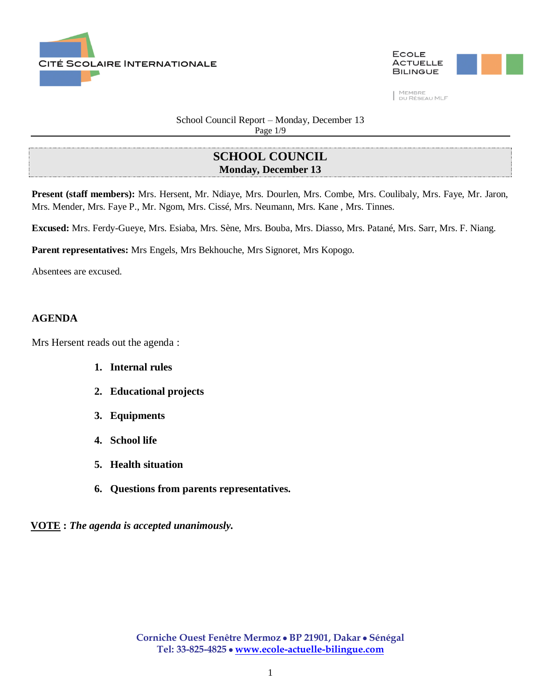



School Council Report – Monday, December 13 Page 1/9

# **SCHOOL COUNCIL Monday, December 13**

**Present (staff members):** Mrs. Hersent, Mr. Ndiaye, Mrs. Dourlen, Mrs. Combe, Mrs. Coulibaly, Mrs. Faye, Mr. Jaron, Mrs. Mender, Mrs. Faye P., Mr. Ngom, Mrs. Cissé, Mrs. Neumann, Mrs. Kane , Mrs. Tinnes.

**Excused:** Mrs. Ferdy-Gueye, Mrs. Esiaba, Mrs. Sène, Mrs. Bouba, Mrs. Diasso, Mrs. Patané, Mrs. Sarr, Mrs. F. Niang.

**Parent representatives:** Mrs Engels, Mrs Bekhouche, Mrs Signoret, Mrs Kopogo.

Absentees are excused.

#### **AGENDA**

Mrs Hersent reads out the agenda :

- **1. Internal rules**
- **2. Educational projects**
- **3. Equipments**
- **4. School life**
- **5. Health situation**
- **6. Questions from parents representatives.**

**VOTE :** *The agenda is accepted unanimously.*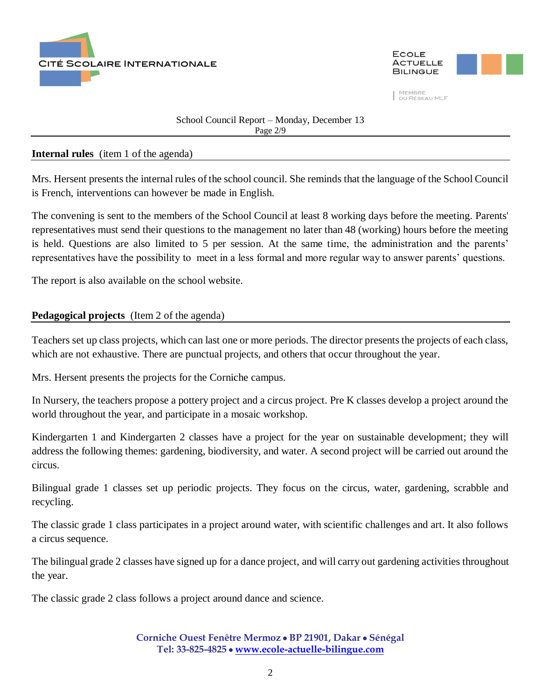



#### School Council Report – Monday, December 13 Page 2/9

### **Internal rules** (item 1 of the agenda)

Mrs. Hersent presents the internal rules of the school council. She reminds that the language of the School Council is French, interventions can however be made in English.

The convening is sent to the members of the School Council at least 8 working days before the meeting. Parents' representatives must send their questions to the management no later than 48 (working) hours before the meeting is held. Questions are also limited to 5 per session. At the same time, the administration and the parents' representatives have the possibility to meet in a less formal and more regular way to answer parents' questions.

The report is also available on the school website.

## **Pedagogical projects** (Item 2 of the agenda)

Teachers set up class projects, which can last one or more periods. The director presents the projects of each class, which are not exhaustive. There are punctual projects, and others that occur throughout the year.

Mrs. Hersent presents the projects for the Corniche campus.

In Nursery, the teachers propose a pottery project and a circus project. Pre K classes develop a project around the world throughout the year, and participate in a mosaic workshop.

Kindergarten 1 and Kindergarten 2 classes have a project for the year on sustainable development; they will address the following themes: gardening, biodiversity, and water. A second project will be carried out around the circus.

Bilingual grade 1 classes set up periodic projects. They focus on the circus, water, gardening, scrabble and recycling.

The classic grade 1 class participates in a project around water, with scientific challenges and art. It also follows a circus sequence.

The bilingual grade 2 classes have signed up for a dance project, and will carry out gardening activities throughout the year.

The classic grade 2 class follows a project around dance and science.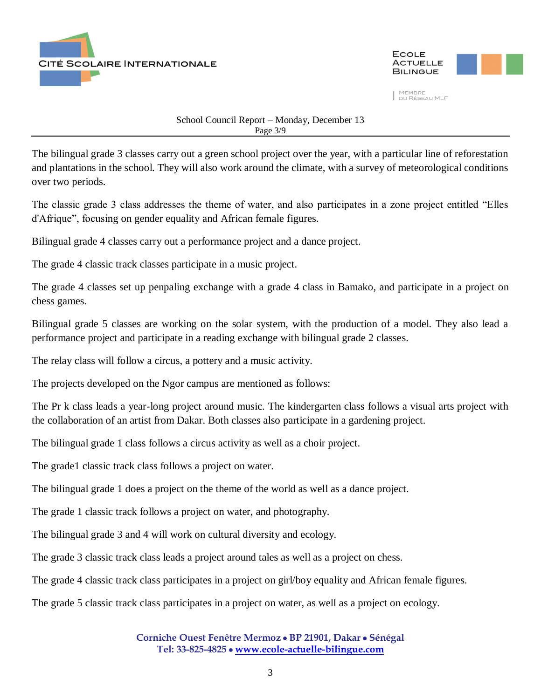



School Council Report – Monday, December 13 Page 3/9

The bilingual grade 3 classes carry out a green school project over the year, with a particular line of reforestation and plantations in the school. They will also work around the climate, with a survey of meteorological conditions over two periods.

The classic grade 3 class addresses the theme of water, and also participates in a zone project entitled "Elles d'Afrique", focusing on gender equality and African female figures.

Bilingual grade 4 classes carry out a performance project and a dance project.

The grade 4 classic track classes participate in a music project.

The grade 4 classes set up penpaling exchange with a grade 4 class in Bamako, and participate in a project on chess games.

Bilingual grade 5 classes are working on the solar system, with the production of a model. They also lead a performance project and participate in a reading exchange with bilingual grade 2 classes.

The relay class will follow a circus, a pottery and a music activity.

The projects developed on the Ngor campus are mentioned as follows:

The Pr k class leads a year-long project around music. The kindergarten class follows a visual arts project with the collaboration of an artist from Dakar. Both classes also participate in a gardening project.

The bilingual grade 1 class follows a circus activity as well as a choir project.

The grade1 classic track class follows a project on water.

The bilingual grade 1 does a project on the theme of the world as well as a dance project.

The grade 1 classic track follows a project on water, and photography.

The bilingual grade 3 and 4 will work on cultural diversity and ecology.

The grade 3 classic track class leads a project around tales as well as a project on chess.

The grade 4 classic track class participates in a project on girl/boy equality and African female figures.

The grade 5 classic track class participates in a project on water, as well as a project on ecology.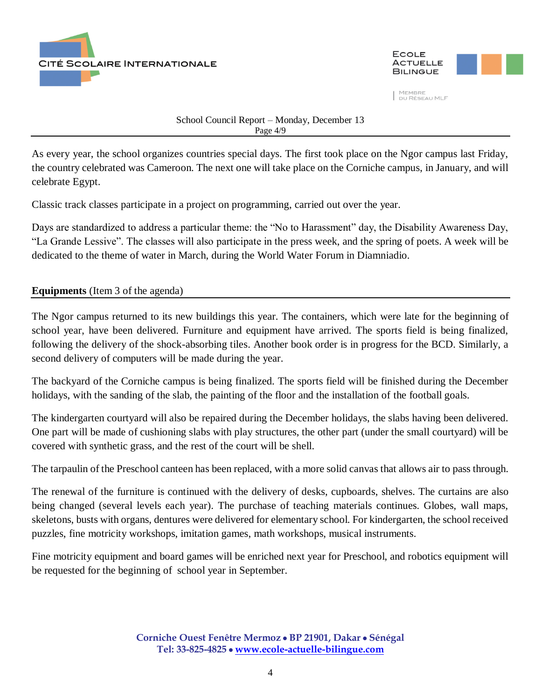



School Council Report – Monday, December 13 Page 4/9

As every year, the school organizes countries special days. The first took place on the Ngor campus last Friday, the country celebrated was Cameroon. The next one will take place on the Corniche campus, in January, and will celebrate Egypt.

Classic track classes participate in a project on programming, carried out over the year.

Days are standardized to address a particular theme: the "No to Harassment" day, the Disability Awareness Day, "La Grande Lessive". The classes will also participate in the press week, and the spring of poets. A week will be dedicated to the theme of water in March, during the World Water Forum in Diamniadio.

## **Equipments** (Item 3 of the agenda)

The Ngor campus returned to its new buildings this year. The containers, which were late for the beginning of school year, have been delivered. Furniture and equipment have arrived. The sports field is being finalized, following the delivery of the shock-absorbing tiles. Another book order is in progress for the BCD. Similarly, a second delivery of computers will be made during the year.

The backyard of the Corniche campus is being finalized. The sports field will be finished during the December holidays, with the sanding of the slab, the painting of the floor and the installation of the football goals.

The kindergarten courtyard will also be repaired during the December holidays, the slabs having been delivered. One part will be made of cushioning slabs with play structures, the other part (under the small courtyard) will be covered with synthetic grass, and the rest of the court will be shell.

The tarpaulin of the Preschool canteen has been replaced, with a more solid canvas that allows air to pass through.

The renewal of the furniture is continued with the delivery of desks, cupboards, shelves. The curtains are also being changed (several levels each year). The purchase of teaching materials continues. Globes, wall maps, skeletons, busts with organs, dentures were delivered for elementary school. For kindergarten, the school received puzzles, fine motricity workshops, imitation games, math workshops, musical instruments.

Fine motricity equipment and board games will be enriched next year for Preschool, and robotics equipment will be requested for the beginning of school year in September.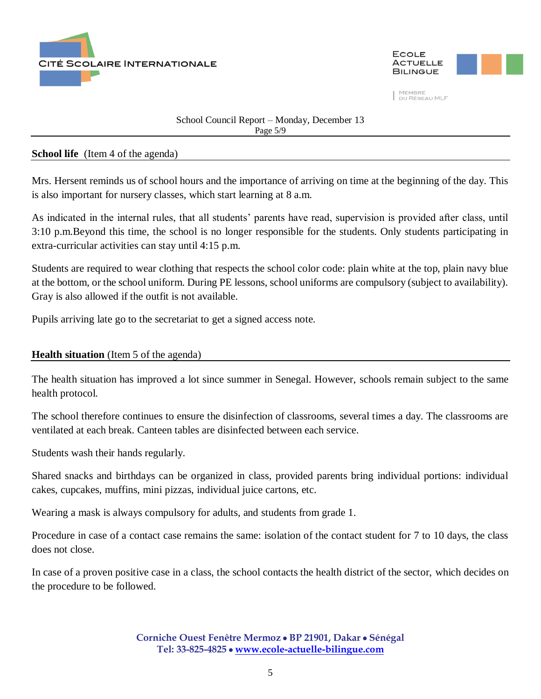



### School Council Report – Monday, December 13 Page 5/9

#### **School life** (Item 4 of the agenda)

Mrs. Hersent reminds us of school hours and the importance of arriving on time at the beginning of the day. This is also important for nursery classes, which start learning at 8 a.m.

As indicated in the internal rules, that all students' parents have read, supervision is provided after class, until 3:10 p.m.Beyond this time, the school is no longer responsible for the students. Only students participating in extra-curricular activities can stay until 4:15 p.m.

Students are required to wear clothing that respects the school color code: plain white at the top, plain navy blue at the bottom, or the school uniform. During PE lessons, school uniforms are compulsory (subject to availability). Gray is also allowed if the outfit is not available.

Pupils arriving late go to the secretariat to get a signed access note.

### **Health situation** (Item 5 of the agenda)

The health situation has improved a lot since summer in Senegal. However, schools remain subject to the same health protocol.

The school therefore continues to ensure the disinfection of classrooms, several times a day. The classrooms are ventilated at each break. Canteen tables are disinfected between each service.

Students wash their hands regularly.

Shared snacks and birthdays can be organized in class, provided parents bring individual portions: individual cakes, cupcakes, muffins, mini pizzas, individual juice cartons, etc.

Wearing a mask is always compulsory for adults, and students from grade 1.

Procedure in case of a contact case remains the same: isolation of the contact student for 7 to 10 days, the class does not close.

In case of a proven positive case in a class, the school contacts the health district of the sector, which decides on the procedure to be followed.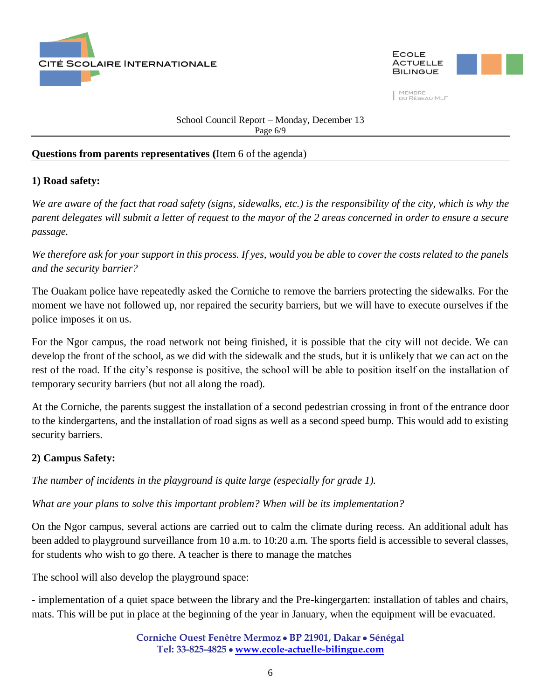



School Council Report – Monday, December 13 Page 6/9

### **Questions from parents representatives (**Item 6 of the agenda)

## **1) Road safety:**

*We are aware of the fact that road safety (signs, sidewalks, etc.) is the responsibility of the city, which is why the parent delegates will submit a letter of request to the mayor of the 2 areas concerned in order to ensure a secure passage.*

*We therefore ask for your support in this process. If yes, would you be able to cover the costs related to the panels and the security barrier?*

The Ouakam police have repeatedly asked the Corniche to remove the barriers protecting the sidewalks. For the moment we have not followed up, nor repaired the security barriers, but we will have to execute ourselves if the police imposes it on us.

For the Ngor campus, the road network not being finished, it is possible that the city will not decide. We can develop the front of the school, as we did with the sidewalk and the studs, but it is unlikely that we can act on the rest of the road. If the city's response is positive, the school will be able to position itself on the installation of temporary security barriers (but not all along the road).

At the Corniche, the parents suggest the installation of a second pedestrian crossing in front of the entrance door to the kindergartens, and the installation of road signs as well as a second speed bump. This would add to existing security barriers.

## **2) Campus Safety:**

*The number of incidents in the playground is quite large (especially for grade 1).*

*What are your plans to solve this important problem? When will be its implementation?*

On the Ngor campus, several actions are carried out to calm the climate during recess. An additional adult has been added to playground surveillance from 10 a.m. to 10:20 a.m. The sports field is accessible to several classes, for students who wish to go there. A teacher is there to manage the matches

The school will also develop the playground space:

- implementation of a quiet space between the library and the Pre-kingergarten: installation of tables and chairs, mats. This will be put in place at the beginning of the year in January, when the equipment will be evacuated.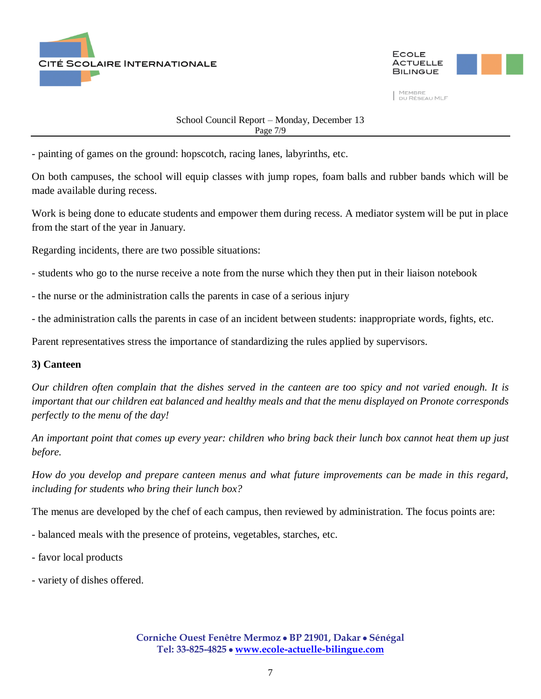



School Council Report – Monday, December 13 Page 7/9

- painting of games on the ground: hopscotch, racing lanes, labyrinths, etc.

On both campuses, the school will equip classes with jump ropes, foam balls and rubber bands which will be made available during recess.

Work is being done to educate students and empower them during recess. A mediator system will be put in place from the start of the year in January.

Regarding incidents, there are two possible situations:

- students who go to the nurse receive a note from the nurse which they then put in their liaison notebook
- the nurse or the administration calls the parents in case of a serious injury
- the administration calls the parents in case of an incident between students: inappropriate words, fights, etc.

Parent representatives stress the importance of standardizing the rules applied by supervisors.

#### **3) Canteen**

*Our children often complain that the dishes served in the canteen are too spicy and not varied enough. It is important that our children eat balanced and healthy meals and that the menu displayed on Pronote corresponds perfectly to the menu of the day!*

*An important point that comes up every year: children who bring back their lunch box cannot heat them up just before.*

*How do you develop and prepare canteen menus and what future improvements can be made in this regard, including for students who bring their lunch box?*

The menus are developed by the chef of each campus, then reviewed by administration. The focus points are:

- balanced meals with the presence of proteins, vegetables, starches, etc.
- favor local products
- variety of dishes offered.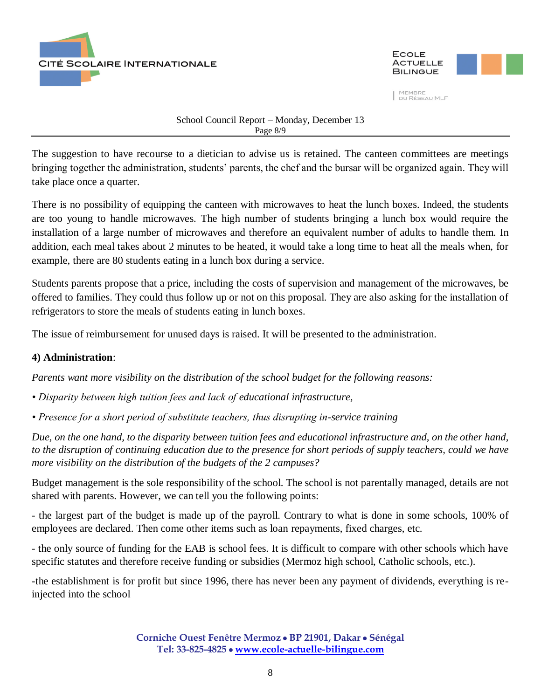



School Council Report – Monday, December 13 Page 8/9

The suggestion to have recourse to a dietician to advise us is retained. The canteen committees are meetings bringing together the administration, students' parents, the chef and the bursar will be organized again. They will take place once a quarter.

There is no possibility of equipping the canteen with microwaves to heat the lunch boxes. Indeed, the students are too young to handle microwaves. The high number of students bringing a lunch box would require the installation of a large number of microwaves and therefore an equivalent number of adults to handle them. In addition, each meal takes about 2 minutes to be heated, it would take a long time to heat all the meals when, for example, there are 80 students eating in a lunch box during a service.

Students parents propose that a price, including the costs of supervision and management of the microwaves, be offered to families. They could thus follow up or not on this proposal. They are also asking for the installation of refrigerators to store the meals of students eating in lunch boxes.

The issue of reimbursement for unused days is raised. It will be presented to the administration.

## **4) Administration**:

*Parents want more visibility on the distribution of the school budget for the following reasons:*

- *Disparity between high tuition fees and lack of educational infrastructure,*
- *Presence for a short period of substitute teachers, thus disrupting in-service training*

*Due, on the one hand, to the disparity between tuition fees and educational infrastructure and, on the other hand, to the disruption of continuing education due to the presence for short periods of supply teachers, could we have more visibility on the distribution of the budgets of the 2 campuses?*

Budget management is the sole responsibility of the school. The school is not parentally managed, details are not shared with parents. However, we can tell you the following points:

- the largest part of the budget is made up of the payroll. Contrary to what is done in some schools, 100% of employees are declared. Then come other items such as loan repayments, fixed charges, etc.

- the only source of funding for the EAB is school fees. It is difficult to compare with other schools which have specific statutes and therefore receive funding or subsidies (Mermoz high school, Catholic schools, etc.).

-the establishment is for profit but since 1996, there has never been any payment of dividends, everything is reinjected into the school